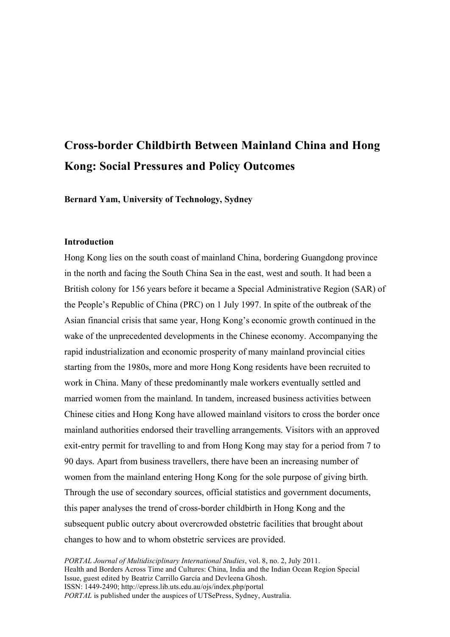# **Cross-border Childbirth Between Mainland China and Hong Kong: Social Pressures and Policy Outcomes**

**Bernard Yam, University of Technology, Sydney** 

## **Introduction**

Hong Kong lies on the south coast of mainland China, bordering Guangdong province in the north and facing the South China Sea in the east, west and south. It had been a British colony for 156 years before it became a Special Administrative Region (SAR) of the People's Republic of China (PRC) on 1 July 1997. In spite of the outbreak of the Asian financial crisis that same year, Hong Kong's economic growth continued in the wake of the unprecedented developments in the Chinese economy. Accompanying the rapid industrialization and economic prosperity of many mainland provincial cities starting from the 1980s, more and more Hong Kong residents have been recruited to work in China. Many of these predominantly male workers eventually settled and married women from the mainland. In tandem, increased business activities between Chinese cities and Hong Kong have allowed mainland visitors to cross the border once mainland authorities endorsed their travelling arrangements. Visitors with an approved exit-entry permit for travelling to and from Hong Kong may stay for a period from 7 to 90 days. Apart from business travellers, there have been an increasing number of women from the mainland entering Hong Kong for the sole purpose of giving birth. Through the use of secondary sources, official statistics and government documents, this paper analyses the trend of cross-border childbirth in Hong Kong and the subsequent public outcry about overcrowded obstetric facilities that brought about changes to how and to whom obstetric services are provided.

*PORTAL Journal of Multidisciplinary International Studies*, vol. 8, no. 2, July 2011. Health and Borders Across Time and Cultures: China, India and the Indian Ocean Region Special Issue, guest edited by Beatriz Carrillo García and Devleena Ghosh. ISSN: 1449-2490; http://epress.lib.uts.edu.au/ojs/index.php/portal *PORTAL* is published under the auspices of UTSePress, Sydney, Australia.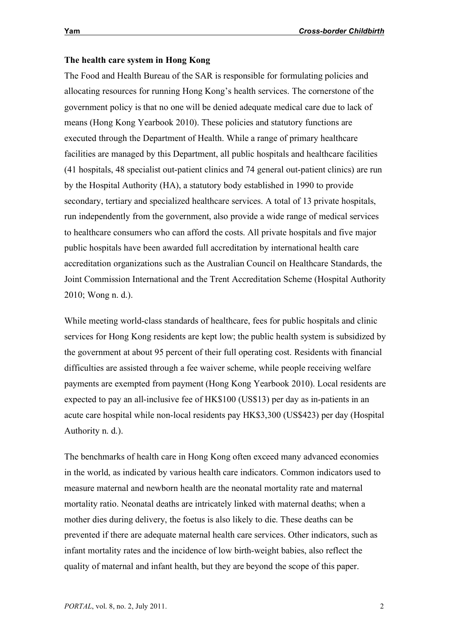# **The health care system in Hong Kong**

The Food and Health Bureau of the SAR is responsible for formulating policies and allocating resources for running Hong Kong's health services. The cornerstone of the government policy is that no one will be denied adequate medical care due to lack of means (Hong Kong Yearbook 2010). These policies and statutory functions are executed through the Department of Health. While a range of primary healthcare facilities are managed by this Department, all public hospitals and healthcare facilities (41 hospitals, 48 specialist out-patient clinics and 74 general out-patient clinics) are run by the Hospital Authority (HA), a statutory body established in 1990 to provide secondary, tertiary and specialized healthcare services. A total of 13 private hospitals, run independently from the government, also provide a wide range of medical services to healthcare consumers who can afford the costs. All private hospitals and five major public hospitals have been awarded full accreditation by international health care accreditation organizations such as the Australian Council on Healthcare Standards, the Joint Commission International and the Trent Accreditation Scheme (Hospital Authority 2010; Wong n. d.).

While meeting world-class standards of healthcare, fees for public hospitals and clinic services for Hong Kong residents are kept low; the public health system is subsidized by the government at about 95 percent of their full operating cost. Residents with financial difficulties are assisted through a fee waiver scheme, while people receiving welfare payments are exempted from payment (Hong Kong Yearbook 2010). Local residents are expected to pay an all-inclusive fee of HK\$100 (US\$13) per day as in-patients in an acute care hospital while non-local residents pay HK\$3,300 (US\$423) per day (Hospital Authority n. d.).

The benchmarks of health care in Hong Kong often exceed many advanced economies in the world, as indicated by various health care indicators. Common indicators used to measure maternal and newborn health are the neonatal mortality rate and maternal mortality ratio. Neonatal deaths are intricately linked with maternal deaths; when a mother dies during delivery, the foetus is also likely to die. These deaths can be prevented if there are adequate maternal health care services. Other indicators, such as infant mortality rates and the incidence of low birth-weight babies, also reflect the quality of maternal and infant health, but they are beyond the scope of this paper.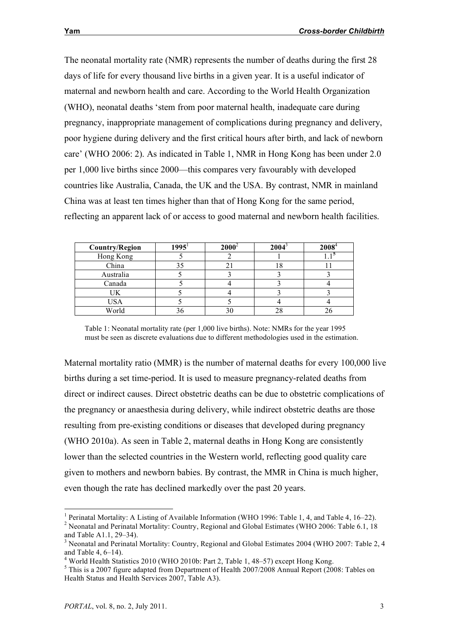The neonatal mortality rate (NMR) represents the number of deaths during the first 28 days of life for every thousand live births in a given year. It is a useful indicator of maternal and newborn health and care. According to the World Health Organization (WHO), neonatal deaths 'stem from poor maternal health, inadequate care during pregnancy, inappropriate management of complications during pregnancy and delivery, poor hygiene during delivery and the first critical hours after birth, and lack of newborn care' (WHO 2006: 2). As indicated in Table 1, NMR in Hong Kong has been under 2.0 per 1,000 live births since 2000—this compares very favourably with developed countries like Australia, Canada, the UK and the USA. By contrast, NMR in mainland China was at least ten times higher than that of Hong Kong for the same period, reflecting an apparent lack of or access to good maternal and newborn health facilities.

| <b>Country/Region</b> | $1995^1$ | $2000^4$ | 2004 | $2008^4$ |
|-----------------------|----------|----------|------|----------|
| Hong Kong             |          |          |      |          |
| China                 |          |          | . 0  |          |
| Australia             |          |          |      |          |
| Canada                |          |          |      |          |
| UΚ                    |          |          |      |          |
| <b>USA</b>            |          |          |      |          |
| World                 |          |          |      |          |

Table 1: Neonatal mortality rate (per 1,000 live births). Note: NMRs for the year 1995 must be seen as discrete evaluations due to different methodologies used in the estimation.

Maternal mortality ratio (MMR) is the number of maternal deaths for every 100,000 live births during a set time-period. It is used to measure pregnancy-related deaths from direct or indirect causes. Direct obstetric deaths can be due to obstetric complications of the pregnancy or anaesthesia during delivery, while indirect obstetric deaths are those resulting from pre-existing conditions or diseases that developed during pregnancy (WHO 2010a). As seen in Table 2, maternal deaths in Hong Kong are consistently lower than the selected countries in the Western world, reflecting good quality care given to mothers and newborn babies. By contrast, the MMR in China is much higher, even though the rate has declined markedly over the past 20 years.

<sup>&</sup>lt;sup>1</sup> Perinatal Mortality: A Listing of Available Information (WHO 1996: Table 1, 4, and Table 4, 16–22). <sup>2</sup> Neonatal and Perinatal Mortality: Country, Regional and Global Estimates (WHO 2006: Table 6.1, 18 and Table A1.1, 29–34).<br><sup>3</sup> Neonatal and Perinatal Mortality: Country, Regional and Global Estimates 2004 (WHO 2007: Table 2, 4)

and Table 4, 6–14).<br><sup>4</sup> World Health Statistics 2010 (WHO 2010b: Part 2, Table 1, 48–57) except Hong Kong.<br><sup>5</sup> This is a 2007 figure adapted from Department of Health 2007/2008 Annual Report (2008: Tables on

Health Status and Health Services 2007, Table A3).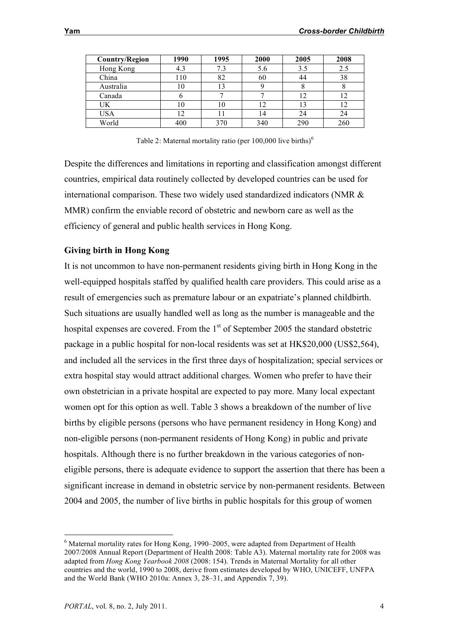| <b>Country/Region</b> | 1990           | 1995 | 2000 | 2005 | 2008 |
|-----------------------|----------------|------|------|------|------|
| Hong Kong             | 4.3            | 7.3  | 5.6  | 3.5  | 2.5  |
| China                 | 110            | 82   | 60   |      | 38   |
| Australia             | 10             |      |      |      |      |
| Canada                |                |      |      |      |      |
| UK                    | $\overline{0}$ | 10   | 12   |      | 12   |
| USA                   | 12             |      | 14   | 24   | 24   |
| World                 | 400            | 370  | 340  | 290  | 260  |

Table 2: Maternal mortality ratio (per  $100,000$  live births)<sup>6</sup>

Despite the differences and limitations in reporting and classification amongst different countries, empirical data routinely collected by developed countries can be used for international comparison. These two widely used standardized indicators (NMR & MMR) confirm the enviable record of obstetric and newborn care as well as the efficiency of general and public health services in Hong Kong.

# **Giving birth in Hong Kong**

It is not uncommon to have non-permanent residents giving birth in Hong Kong in the well-equipped hospitals staffed by qualified health care providers. This could arise as a result of emergencies such as premature labour or an expatriate's planned childbirth. Such situations are usually handled well as long as the number is manageable and the hospital expenses are covered. From the  $1<sup>st</sup>$  of September 2005 the standard obstetric package in a public hospital for non-local residents was set at HK\$20,000 (US\$2,564), and included all the services in the first three days of hospitalization; special services or extra hospital stay would attract additional charges. Women who prefer to have their own obstetrician in a private hospital are expected to pay more. Many local expectant women opt for this option as well. Table 3 shows a breakdown of the number of live births by eligible persons (persons who have permanent residency in Hong Kong) and non-eligible persons (non-permanent residents of Hong Kong) in public and private hospitals. Although there is no further breakdown in the various categories of noneligible persons, there is adequate evidence to support the assertion that there has been a significant increase in demand in obstetric service by non-permanent residents. Between 2004 and 2005, the number of live births in public hospitals for this group of women

 <sup>6</sup> Maternal mortality rates for Hong Kong, 1990–2005, were adapted from Department of Health 2007/2008 Annual Report (Department of Health 2008: Table A3). Maternal mortality rate for 2008 was adapted from *Hong Kong Yearbook 2008* (2008: 154). Trends in Maternal Mortality for all other countries and the world, 1990 to 2008, derive from estimates developed by WHO, UNICEFF, UNFPA and the World Bank (WHO 2010a: Annex 3, 28–31, and Appendix 7, 39).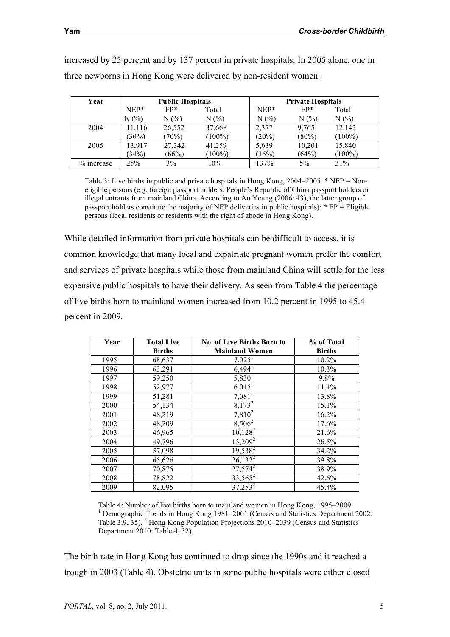| Year         | <b>Public Hospitals</b> |        |           | <b>Private Hospitals</b> |          |           |
|--------------|-------------------------|--------|-----------|--------------------------|----------|-----------|
|              | $NEP*$                  | $EP*$  | Total     | $NEP*$                   | $EP*$    | Total     |
|              | N(%                     | N(%    | $N(\%)$   | N(%                      | $N(\%)$  | $N(\%)$   |
| 2004         | 11,116                  | 26,552 | 37,668    | 2,377                    | 9,765    | 12,142    |
|              | $30\%)$                 | (70%)  | $(100\%)$ | $(20\%)$                 | $(80\%)$ | $(100\%)$ |
| 2005         | 13.917                  | 27,342 | 41,259    | 5,639                    | 10,201   | 15,840    |
|              | (34%)                   | (66%)  | $(100\%)$ | (36%)                    | (64%)    | $(100\%)$ |
| $%$ increase | 25%                     | $3\%$  | 10%       | 137%                     | 5%       | 31%       |

increased by 25 percent and by 137 percent in private hospitals. In 2005 alone, one in three newborns in Hong Kong were delivered by non-resident women.

Table 3: Live births in public and private hospitals in Hong Kong, 2004–2005. \* NEP = Noneligible persons (e.g. foreign passport holders, People's Republic of China passport holders or illegal entrants from mainland China. According to Au Yeung (2006: 43), the latter group of passport holders constitute the majority of NEP deliveries in public hospitals); \* EP = Eligible persons (local residents or residents with the right of abode in Hong Kong).

While detailed information from private hospitals can be difficult to access, it is common knowledge that many local and expatriate pregnant women prefer the comfort and services of private hospitals while those from mainland China will settle for the less expensive public hospitals to have their delivery. As seen from Table 4 the percentage of live births born to mainland women increased from 10.2 percent in 1995 to 45.4 percent in 2009.

| Year | <b>Total Live</b> | <b>No. of Live Births Born to</b> | % of Total    |
|------|-------------------|-----------------------------------|---------------|
|      | <b>Births</b>     | <b>Mainland Women</b>             | <b>Births</b> |
| 1995 | 68,637            | 7,025 <sup>1</sup>                | 10.2%         |
| 1996 | 63,291            | $6,494$ <sup>1</sup>              | 10.3%         |
| 1997 | 59,250            | $5,830$ <sup>1</sup>              | 9.8%          |
| 1998 | 52,977            | $6,015$ <sup>1</sup>              | 11.4%         |
| 1999 | 51,281            | $7,081$ <sup>1</sup>              | 13.8%         |
| 2000 | 54,134            | $8,173^2$                         | 15.1%         |
| 2001 | 48,219            | $7,810^2$                         | 16.2%         |
| 2002 | 48,209            | $8,506^2$                         | 17.6%         |
| 2003 | 46,965            | $10,128^2$                        | 21.6%         |
| 2004 | 49,796            | $13,209^2$                        | 26.5%         |
| 2005 | 57,098            | $19,538^2$                        | 34.2%         |
| 2006 | 65,626            | $26,132^2$                        | 39.8%         |
| 2007 | 70,875            | $27,574^2$                        | 38.9%         |
| 2008 | 78,822            | $33,565^2$                        | 42.6%         |
| 2009 | 82,095            | $37,253^2$                        | 45.4%         |

Table 4: Number of live births born to mainland women in Hong Kong, 1995–2009. <sup>1</sup> Demographic Trends in Hong Kong 1981–2001 (Census and Statistics Department 2002: Table 3.9, 35). <sup>2</sup> Hong Kong Population Projections 2010–2039 (Census and Statistics Department 2010: Table 4, 32).

The birth rate in Hong Kong has continued to drop since the 1990s and it reached a trough in 2003 (Table 4). Obstetric units in some public hospitals were either closed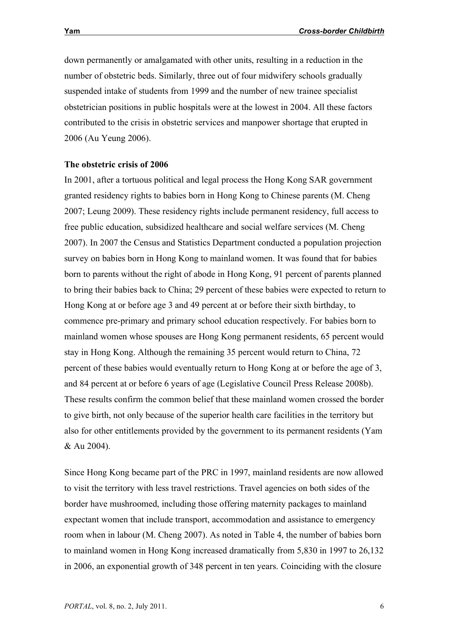down permanently or amalgamated with other units, resulting in a reduction in the number of obstetric beds. Similarly, three out of four midwifery schools gradually suspended intake of students from 1999 and the number of new trainee specialist obstetrician positions in public hospitals were at the lowest in 2004. All these factors contributed to the crisis in obstetric services and manpower shortage that erupted in 2006 (Au Yeung 2006).

#### **The obstetric crisis of 2006**

In 2001, after a tortuous political and legal process the Hong Kong SAR government granted residency rights to babies born in Hong Kong to Chinese parents (M. Cheng 2007; Leung 2009). These residency rights include permanent residency, full access to free public education, subsidized healthcare and social welfare services (M. Cheng 2007). In 2007 the Census and Statistics Department conducted a population projection survey on babies born in Hong Kong to mainland women. It was found that for babies born to parents without the right of abode in Hong Kong, 91 percent of parents planned to bring their babies back to China; 29 percent of these babies were expected to return to Hong Kong at or before age 3 and 49 percent at or before their sixth birthday, to commence pre-primary and primary school education respectively. For babies born to mainland women whose spouses are Hong Kong permanent residents, 65 percent would stay in Hong Kong. Although the remaining 35 percent would return to China, 72 percent of these babies would eventually return to Hong Kong at or before the age of 3, and 84 percent at or before 6 years of age (Legislative Council Press Release 2008b). These results confirm the common belief that these mainland women crossed the border to give birth, not only because of the superior health care facilities in the territory but also for other entitlements provided by the government to its permanent residents (Yam & Au 2004).

Since Hong Kong became part of the PRC in 1997, mainland residents are now allowed to visit the territory with less travel restrictions. Travel agencies on both sides of the border have mushroomed, including those offering maternity packages to mainland expectant women that include transport, accommodation and assistance to emergency room when in labour (M. Cheng 2007). As noted in Table 4, the number of babies born to mainland women in Hong Kong increased dramatically from 5,830 in 1997 to 26,132 in 2006, an exponential growth of 348 percent in ten years. Coinciding with the closure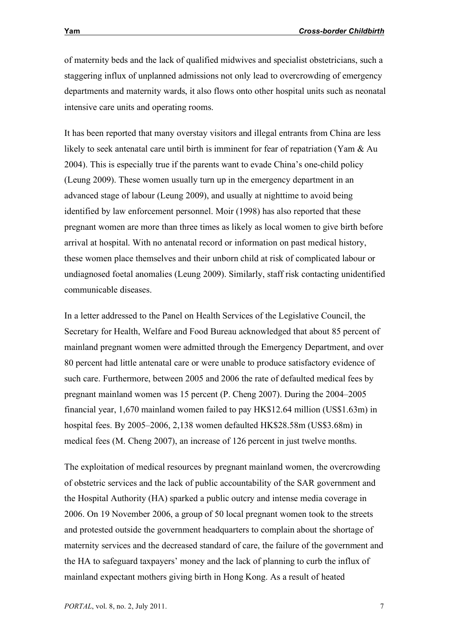of maternity beds and the lack of qualified midwives and specialist obstetricians, such a staggering influx of unplanned admissions not only lead to overcrowding of emergency departments and maternity wards, it also flows onto other hospital units such as neonatal

It has been reported that many overstay visitors and illegal entrants from China are less likely to seek antenatal care until birth is imminent for fear of repatriation (Yam & Au 2004). This is especially true if the parents want to evade China's one-child policy (Leung 2009). These women usually turn up in the emergency department in an advanced stage of labour (Leung 2009), and usually at nighttime to avoid being identified by law enforcement personnel. Moir (1998) has also reported that these pregnant women are more than three times as likely as local women to give birth before arrival at hospital. With no antenatal record or information on past medical history, these women place themselves and their unborn child at risk of complicated labour or undiagnosed foetal anomalies (Leung 2009). Similarly, staff risk contacting unidentified communicable diseases.

In a letter addressed to the Panel on Health Services of the Legislative Council, the Secretary for Health, Welfare and Food Bureau acknowledged that about 85 percent of mainland pregnant women were admitted through the Emergency Department, and over 80 percent had little antenatal care or were unable to produce satisfactory evidence of such care. Furthermore, between 2005 and 2006 the rate of defaulted medical fees by pregnant mainland women was 15 percent (P. Cheng 2007). During the 2004–2005 financial year, 1,670 mainland women failed to pay HK\$12.64 million (US\$1.63m) in hospital fees. By 2005–2006, 2,138 women defaulted HK\$28.58m (US\$3.68m) in medical fees (M. Cheng 2007), an increase of 126 percent in just twelve months.

The exploitation of medical resources by pregnant mainland women, the overcrowding of obstetric services and the lack of public accountability of the SAR government and the Hospital Authority (HA) sparked a public outcry and intense media coverage in 2006. On 19 November 2006, a group of 50 local pregnant women took to the streets and protested outside the government headquarters to complain about the shortage of maternity services and the decreased standard of care, the failure of the government and the HA to safeguard taxpayers' money and the lack of planning to curb the influx of mainland expectant mothers giving birth in Hong Kong. As a result of heated

intensive care units and operating rooms.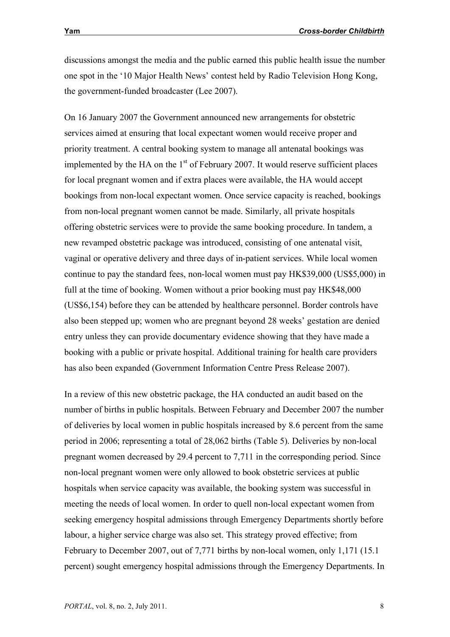discussions amongst the media and the public earned this public health issue the number one spot in the '10 Major Health News' contest held by Radio Television Hong Kong, the government-funded broadcaster (Lee 2007).

On 16 January 2007 the Government announced new arrangements for obstetric services aimed at ensuring that local expectant women would receive proper and priority treatment. A central booking system to manage all antenatal bookings was implemented by the HA on the  $1<sup>st</sup>$  of February 2007. It would reserve sufficient places for local pregnant women and if extra places were available, the HA would accept bookings from non-local expectant women. Once service capacity is reached, bookings from non-local pregnant women cannot be made. Similarly, all private hospitals offering obstetric services were to provide the same booking procedure. In tandem, a new revamped obstetric package was introduced, consisting of one antenatal visit, vaginal or operative delivery and three days of in-patient services. While local women continue to pay the standard fees, non-local women must pay HK\$39,000 (US\$5,000) in full at the time of booking. Women without a prior booking must pay HK\$48,000 (US\$6,154) before they can be attended by healthcare personnel. Border controls have also been stepped up; women who are pregnant beyond 28 weeks' gestation are denied entry unless they can provide documentary evidence showing that they have made a booking with a public or private hospital. Additional training for health care providers has also been expanded (Government Information Centre Press Release 2007).

In a review of this new obstetric package, the HA conducted an audit based on the number of births in public hospitals. Between February and December 2007 the number of deliveries by local women in public hospitals increased by 8.6 percent from the same period in 2006; representing a total of 28,062 births (Table 5). Deliveries by non-local pregnant women decreased by 29.4 percent to 7,711 in the corresponding period. Since non-local pregnant women were only allowed to book obstetric services at public hospitals when service capacity was available, the booking system was successful in meeting the needs of local women. In order to quell non-local expectant women from seeking emergency hospital admissions through Emergency Departments shortly before labour, a higher service charge was also set. This strategy proved effective; from February to December 2007, out of 7,771 births by non-local women, only 1,171 (15.1 percent) sought emergency hospital admissions through the Emergency Departments. In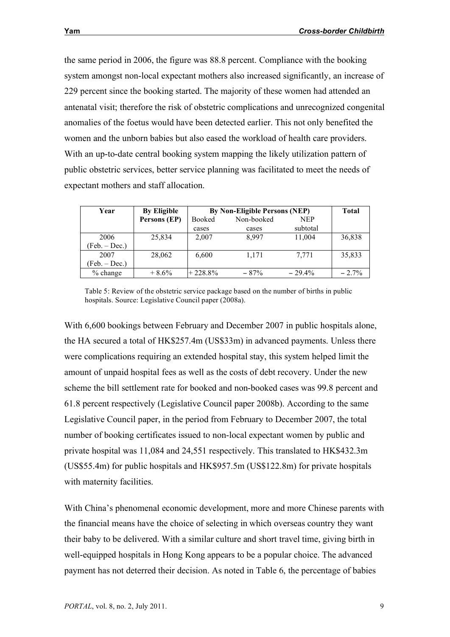the same period in 2006, the figure was 88.8 percent. Compliance with the booking system amongst non-local expectant mothers also increased significantly, an increase of 229 percent since the booking started. The majority of these women had attended an antenatal visit; therefore the risk of obstetric complications and unrecognized congenital anomalies of the foetus would have been detected earlier. This not only benefited the women and the unborn babies but also eased the workload of health care providers. With an up-to-date central booking system mapping the likely utilization pattern of public obstetric services, better service planning was facilitated to meet the needs of expectant mothers and staff allocation.

| Year            | <b>By Eligible</b> | By Non-Eligible Persons (NEP) |            |            | <b>Total</b> |
|-----------------|--------------------|-------------------------------|------------|------------|--------------|
|                 | Persons (EP)       | Booked                        | Non-booked | <b>NEP</b> |              |
|                 |                    | cases                         | cases      | subtotal   |              |
| 2006            | 25,834             | 2,007                         | 8.997      | 11,004     | 36,838       |
| (Feb. – Dec.)   |                    |                               |            |            |              |
| 2007            | 28,062             | 6,600                         | 1,171      | 7,771      | 35,833       |
| $(Feb. - Dec.)$ |                    |                               |            |            |              |
| $%$ change      | $+8.6%$            | $+228.8%$                     | $-87%$     | $-29.4\%$  | $-2.7%$      |

Table 5: Review of the obstetric service package based on the number of births in public hospitals. Source: Legislative Council paper (2008a).

With 6,600 bookings between February and December 2007 in public hospitals alone, the HA secured a total of HK\$257.4m (US\$33m) in advanced payments. Unless there were complications requiring an extended hospital stay, this system helped limit the amount of unpaid hospital fees as well as the costs of debt recovery. Under the new scheme the bill settlement rate for booked and non-booked cases was 99.8 percent and 61.8 percent respectively (Legislative Council paper 2008b). According to the same Legislative Council paper, in the period from February to December 2007, the total number of booking certificates issued to non-local expectant women by public and private hospital was 11,084 and 24,551 respectively. This translated to HK\$432.3m (US\$55.4m) for public hospitals and HK\$957.5m (US\$122.8m) for private hospitals with maternity facilities.

With China's phenomenal economic development, more and more Chinese parents with the financial means have the choice of selecting in which overseas country they want their baby to be delivered. With a similar culture and short travel time, giving birth in well-equipped hospitals in Hong Kong appears to be a popular choice. The advanced payment has not deterred their decision. As noted in Table 6, the percentage of babies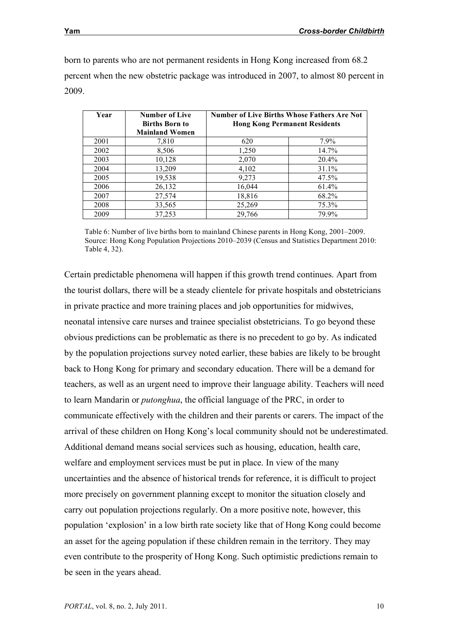born to parents who are not permanent residents in Hong Kong increased from 68.2 percent when the new obstetric package was introduced in 2007, to almost 80 percent in 2009.

| Year | <b>Number of Live</b><br><b>Births Born to</b><br><b>Mainland Women</b> | <b>Number of Live Births Whose Fathers Are Not</b><br><b>Hong Kong Permanent Residents</b> |       |  |
|------|-------------------------------------------------------------------------|--------------------------------------------------------------------------------------------|-------|--|
| 2001 | 7,810                                                                   | 620                                                                                        | 7.9%  |  |
| 2002 | 8,506                                                                   | 1,250                                                                                      | 14.7% |  |
| 2003 | 10,128                                                                  | 2,070                                                                                      | 20.4% |  |
| 2004 | 13,209                                                                  | 4,102                                                                                      | 31.1% |  |
| 2005 | 19,538                                                                  | 9,273                                                                                      | 47.5% |  |
| 2006 | 26,132                                                                  | 16,044                                                                                     | 61.4% |  |
| 2007 | 27,574                                                                  | 18,816                                                                                     | 68.2% |  |
| 2008 | 33,565                                                                  | 25,269                                                                                     | 75.3% |  |
| 2009 | 37,253                                                                  | 29,766                                                                                     | 79.9% |  |

Table 6: Number of live births born to mainland Chinese parents in Hong Kong, 2001–2009. Source: Hong Kong Population Projections 2010–2039 (Census and Statistics Department 2010: Table 4, 32).

Certain predictable phenomena will happen if this growth trend continues. Apart from the tourist dollars, there will be a steady clientele for private hospitals and obstetricians in private practice and more training places and job opportunities for midwives, neonatal intensive care nurses and trainee specialist obstetricians. To go beyond these obvious predictions can be problematic as there is no precedent to go by. As indicated by the population projections survey noted earlier, these babies are likely to be brought back to Hong Kong for primary and secondary education. There will be a demand for teachers, as well as an urgent need to improve their language ability. Teachers will need to learn Mandarin or *putonghua*, the official language of the PRC, in order to communicate effectively with the children and their parents or carers. The impact of the arrival of these children on Hong Kong's local community should not be underestimated. Additional demand means social services such as housing, education, health care, welfare and employment services must be put in place. In view of the many uncertainties and the absence of historical trends for reference, it is difficult to project more precisely on government planning except to monitor the situation closely and carry out population projections regularly. On a more positive note, however, this population 'explosion' in a low birth rate society like that of Hong Kong could become an asset for the ageing population if these children remain in the territory. They may even contribute to the prosperity of Hong Kong. Such optimistic predictions remain to be seen in the years ahead.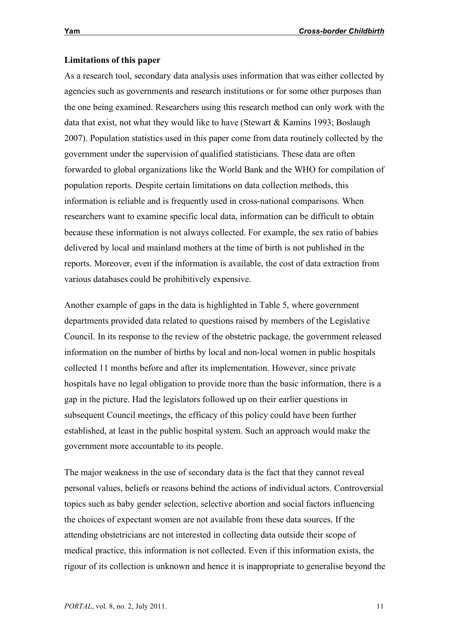# **Limitations of this paper**

As a research tool, secondary data analysis uses information that was either collected by agencies such as governments and research institutions or for some other purposes than the one being examined. Researchers using this research method can only work with the data that exist, not what they would like to have (Stewart & Kamins 1993; Boslaugh 2007). Population statistics used in this paper come from data routinely collected by the government under the supervision of qualified statisticians. These data are often forwarded to global organizations like the World Bank and the WHO for compilation of population reports. Despite certain limitations on data collection methods, this information is reliable and is frequently used in cross-national comparisons. When researchers want to examine specific local data, information can be difficult to obtain because these information is not always collected. For example, the sex ratio of babies delivered by local and mainland mothers at the time of birth is not published in the reports. Moreover, even if the information is available, the cost of data extraction from various databases could be prohibitively expensive.

Another example of gaps in the data is highlighted in Table 5, where government departments provided data related to questions raised by members of the Legislative Council. In its response to the review of the obstetric package, the government released information on the number of births by local and non-local women in public hospitals collected 11 months before and after its implementation. However, since private hospitals have no legal obligation to provide more than the basic information, there is a gap in the picture. Had the legislators followed up on their earlier questions in subsequent Council meetings, the efficacy of this policy could have been further established, at least in the public hospital system. Such an approach would make the government more accountable to its people.

The major weakness in the use of secondary data is the fact that they cannot reveal personal values, beliefs or reasons behind the actions of individual actors. Controversial topics such as baby gender selection, selective abortion and social factors influencing the choices of expectant women are not available from these data sources. If the attending obstetricians are not interested in collecting data outside their scope of medical practice, this information is not collected. Even if this information exists, the rigour of its collection is unknown and hence it is inappropriate to generalise beyond the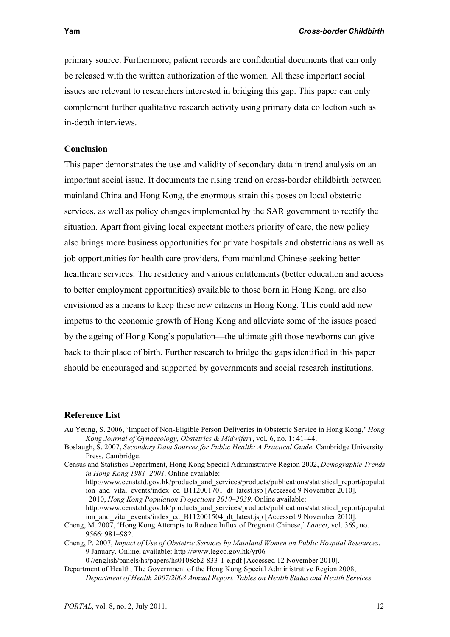primary source. Furthermore, patient records are confidential documents that can only be released with the written authorization of the women. All these important social issues are relevant to researchers interested in bridging this gap. This paper can only complement further qualitative research activity using primary data collection such as in-depth interviews.

# **Conclusion**

This paper demonstrates the use and validity of secondary data in trend analysis on an important social issue. It documents the rising trend on cross-border childbirth between mainland China and Hong Kong, the enormous strain this poses on local obstetric services, as well as policy changes implemented by the SAR government to rectify the situation. Apart from giving local expectant mothers priority of care, the new policy also brings more business opportunities for private hospitals and obstetricians as well as job opportunities for health care providers, from mainland Chinese seeking better healthcare services. The residency and various entitlements (better education and access to better employment opportunities) available to those born in Hong Kong, are also envisioned as a means to keep these new citizens in Hong Kong. This could add new impetus to the economic growth of Hong Kong and alleviate some of the issues posed by the ageing of Hong Kong's population—the ultimate gift those newborns can give back to their place of birth. Further research to bridge the gaps identified in this paper should be encouraged and supported by governments and social research institutions.

#### **Reference List**

- Au Yeung, S. 2006, 'Impact of Non-Eligible Person Deliveries in Obstetric Service in Hong Kong,' *Hong Kong Journal of Gynaecology, Obstetrics & Midwifery*, vol. 6, no. 1: 41–44.
- Boslaugh, S. 2007, *Secondary Data Sources for Public Health: A Practical Guide.* Cambridge University Press, Cambridge.
- Census and Statistics Department, Hong Kong Special Administrative Region 2002, *Demographic Trends in Hong Kong 1981–2001.* Online available:
	- http://www.censtatd.gov.hk/products\_and\_services/products/publications/statistical\_report/populat ion and vital events/index cd B112001701 dt latest.jsp [Accessed 9 November 2010]. \_\_\_\_\_\_ 2010, *Hong Kong Population Projections 2010–2039.* Online available:
	- http://www.censtatd.gov.hk/products\_and\_services/products/publications/statistical\_report/populat ion\_and\_vital\_events/index\_cd\_B112001504\_dt\_latest.jsp [Accessed 9 November 2010].

Cheng, M. 2007, 'Hong Kong Attempts to Reduce Influx of Pregnant Chinese,' *Lancet*, vol. 369, no. 9566: 981–982.

Cheng, P. 2007, *Impact of Use of Obstetric Services by Mainland Women on Public Hospital Resources*. 9 January. Online, available: http://www.legco.gov.hk/yr06-

07/english/panels/hs/papers/hs0108cb2-833-1-e.pdf [Accessed 12 November 2010]. Department of Health, The Government of the Hong Kong Special Administrative Region 2008,

*Department of Health 2007/2008 Annual Report. Tables on Health Status and Health Services*